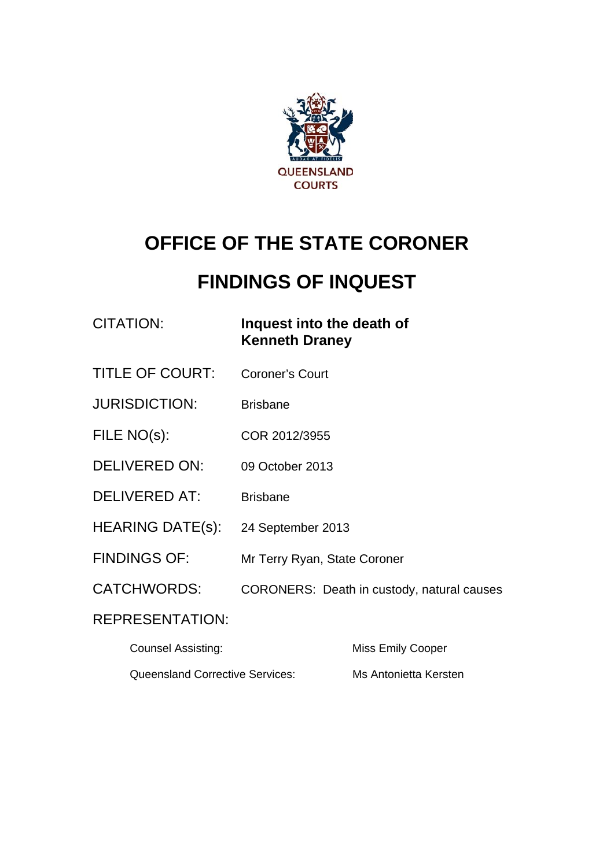

# **OFFICE OF THE STATE CORONER**

# **FINDINGS OF INQUEST**

CITATION: **Inquest into the death of Kenneth Draney** 

- TITLE OF COURT: Coroner's Court
- JURISDICTION: Brisbane
- FILE NO(s): COR 2012/3955
- DELIVERED ON: 09 October 2013
- DELIVERED AT: Brisbane
- HEARING DATE(s): 24 September 2013
- FINDINGS OF: Mr Terry Ryan, State Coroner
- CATCHWORDS: CORONERS: Death in custody, natural causes

#### REPRESENTATION:

| <b>Counsel Assisting:</b>              | Miss Emily Cooper     |
|----------------------------------------|-----------------------|
| <b>Queensland Corrective Services:</b> | Ms Antonietta Kersten |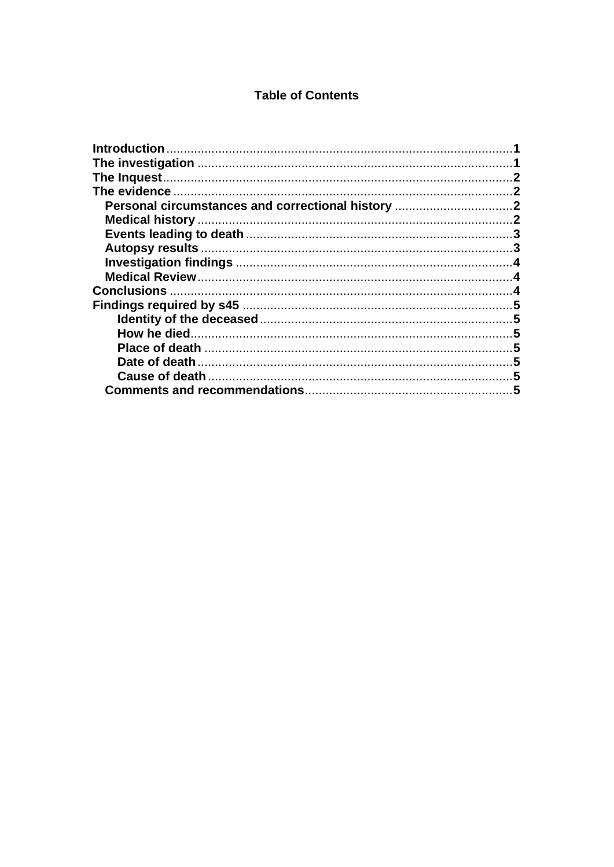#### **Table of Contents**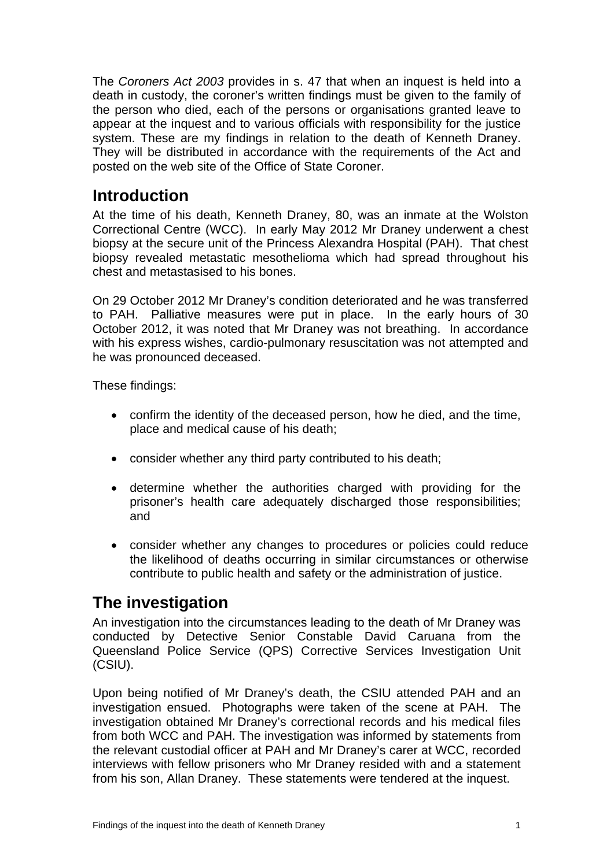The *Coroners Act 2003* provides in s. 47 that when an inquest is held into a death in custody, the coroner's written findings must be given to the family of the person who died, each of the persons or organisations granted leave to appear at the inquest and to various officials with responsibility for the justice system. These are my findings in relation to the death of Kenneth Draney. They will be distributed in accordance with the requirements of the Act and posted on the web site of the Office of State Coroner.

## <span id="page-2-0"></span>**Introduction**

At the time of his death, Kenneth Draney, 80, was an inmate at the Wolston Correctional Centre (WCC). In early May 2012 Mr Draney underwent a chest biopsy at the secure unit of the Princess Alexandra Hospital (PAH). That chest biopsy revealed metastatic mesothelioma which had spread throughout his chest and metastasised to his bones.

On 29 October 2012 Mr Draney's condition deteriorated and he was transferred to PAH. Palliative measures were put in place. In the early hours of 30 October 2012, it was noted that Mr Draney was not breathing. In accordance with his express wishes, cardio-pulmonary resuscitation was not attempted and he was pronounced deceased.

These findings:

- confirm the identity of the deceased person, how he died, and the time, place and medical cause of his death;
- consider whether any third party contributed to his death;
- determine whether the authorities charged with providing for the prisoner's health care adequately discharged those responsibilities; and
- consider whether any changes to procedures or policies could reduce the likelihood of deaths occurring in similar circumstances or otherwise contribute to public health and safety or the administration of justice.

## <span id="page-2-1"></span>**The investigation**

An investigation into the circumstances leading to the death of Mr Draney was conducted by Detective Senior Constable David Caruana from the Queensland Police Service (QPS) Corrective Services Investigation Unit (CSIU).

Upon being notified of Mr Draney's death, the CSIU attended PAH and an investigation ensued. Photographs were taken of the scene at PAH. The investigation obtained Mr Draney's correctional records and his medical files from both WCC and PAH. The investigation was informed by statements from the relevant custodial officer at PAH and Mr Draney's carer at WCC, recorded interviews with fellow prisoners who Mr Draney resided with and a statement from his son, Allan Draney. These statements were tendered at the inquest.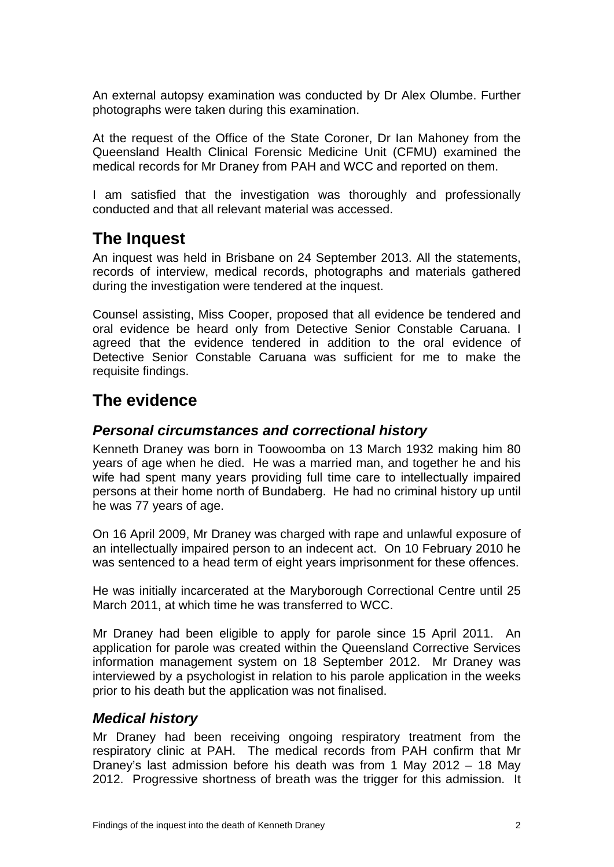An external autopsy examination was conducted by Dr Alex Olumbe. Further photographs were taken during this examination.

At the request of the Office of the State Coroner, Dr Ian Mahoney from the Queensland Health Clinical Forensic Medicine Unit (CFMU) examined the medical records for Mr Draney from PAH and WCC and reported on them.

I am satisfied that the investigation was thoroughly and professionally conducted and that all relevant material was accessed.

# <span id="page-3-0"></span>**The Inquest**

An inquest was held in Brisbane on 24 September 2013. All the statements, records of interview, medical records, photographs and materials gathered during the investigation were tendered at the inquest.

Counsel assisting, Miss Cooper, proposed that all evidence be tendered and oral evidence be heard only from Detective Senior Constable Caruana. I agreed that the evidence tendered in addition to the oral evidence of Detective Senior Constable Caruana was sufficient for me to make the requisite findings.

# <span id="page-3-1"></span>**The evidence**

#### <span id="page-3-2"></span>*Personal circumstances and correctional history*

Kenneth Draney was born in Toowoomba on 13 March 1932 making him 80 years of age when he died. He was a married man, and together he and his wife had spent many years providing full time care to intellectually impaired persons at their home north of Bundaberg. He had no criminal history up until he was 77 years of age.

On 16 April 2009, Mr Draney was charged with rape and unlawful exposure of an intellectually impaired person to an indecent act. On 10 February 2010 he was sentenced to a head term of eight years imprisonment for these offences.

He was initially incarcerated at the Maryborough Correctional Centre until 25 March 2011, at which time he was transferred to WCC.

Mr Draney had been eligible to apply for parole since 15 April 2011. An application for parole was created within the Queensland Corrective Services information management system on 18 September 2012. Mr Draney was interviewed by a psychologist in relation to his parole application in the weeks prior to his death but the application was not finalised.

#### <span id="page-3-3"></span>*Medical history*

Mr Draney had been receiving ongoing respiratory treatment from the respiratory clinic at PAH. The medical records from PAH confirm that Mr Draney's last admission before his death was from 1 May 2012 – 18 May 2012. Progressive shortness of breath was the trigger for this admission. It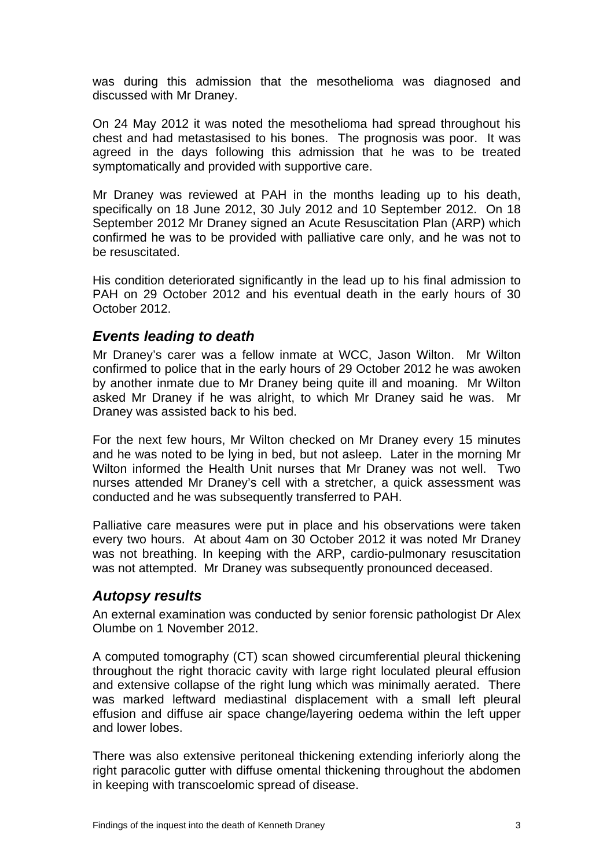was during this admission that the mesothelioma was diagnosed and discussed with Mr Draney.

On 24 May 2012 it was noted the mesothelioma had spread throughout his chest and had metastasised to his bones. The prognosis was poor. It was agreed in the days following this admission that he was to be treated symptomatically and provided with supportive care.

Mr Draney was reviewed at PAH in the months leading up to his death, specifically on 18 June 2012, 30 July 2012 and 10 September 2012. On 18 September 2012 Mr Draney signed an Acute Resuscitation Plan (ARP) which confirmed he was to be provided with palliative care only, and he was not to be resuscitated.

His condition deteriorated significantly in the lead up to his final admission to PAH on 29 October 2012 and his eventual death in the early hours of 30 October 2012.

#### <span id="page-4-0"></span>*Events leading to death*

Mr Draney's carer was a fellow inmate at WCC, Jason Wilton. Mr Wilton confirmed to police that in the early hours of 29 October 2012 he was awoken by another inmate due to Mr Draney being quite ill and moaning. Mr Wilton asked Mr Draney if he was alright, to which Mr Draney said he was. Mr Draney was assisted back to his bed.

For the next few hours, Mr Wilton checked on Mr Draney every 15 minutes and he was noted to be lying in bed, but not asleep. Later in the morning Mr Wilton informed the Health Unit nurses that Mr Draney was not well. Two nurses attended Mr Draney's cell with a stretcher, a quick assessment was conducted and he was subsequently transferred to PAH.

Palliative care measures were put in place and his observations were taken every two hours. At about 4am on 30 October 2012 it was noted Mr Draney was not breathing. In keeping with the ARP, cardio-pulmonary resuscitation was not attempted. Mr Draney was subsequently pronounced deceased.

#### <span id="page-4-1"></span>*Autopsy results*

An external examination was conducted by senior forensic pathologist Dr Alex Olumbe on 1 November 2012.

A computed tomography (CT) scan showed circumferential pleural thickening throughout the right thoracic cavity with large right loculated pleural effusion and extensive collapse of the right lung which was minimally aerated. There was marked leftward mediastinal displacement with a small left pleural effusion and diffuse air space change/layering oedema within the left upper and lower lobes.

There was also extensive peritoneal thickening extending inferiorly along the right paracolic gutter with diffuse omental thickening throughout the abdomen in keeping with transcoelomic spread of disease.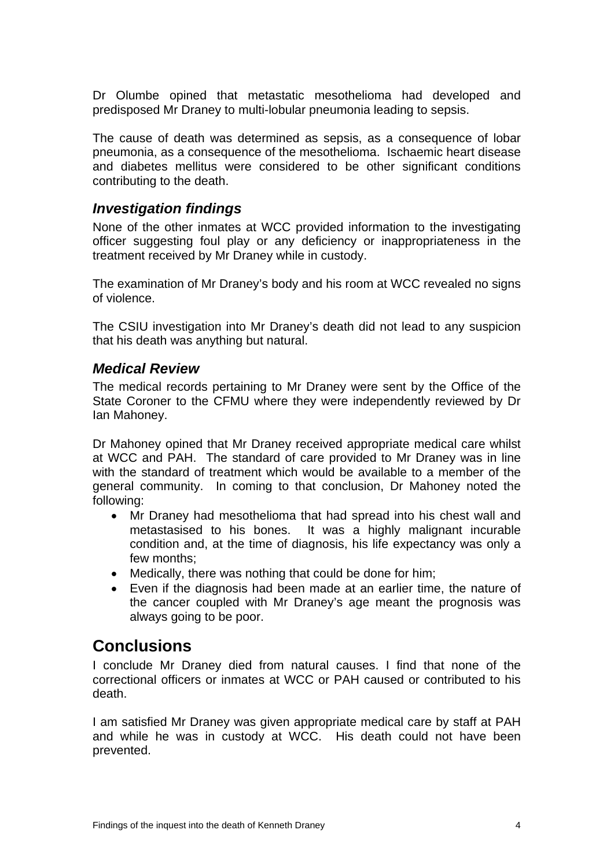Dr Olumbe opined that metastatic mesothelioma had developed and predisposed Mr Draney to multi-lobular pneumonia leading to sepsis.

The cause of death was determined as sepsis, as a consequence of lobar pneumonia, as a consequence of the mesothelioma. Ischaemic heart disease and diabetes mellitus were considered to be other significant conditions contributing to the death.

#### <span id="page-5-0"></span>*Investigation findings*

None of the other inmates at WCC provided information to the investigating officer suggesting foul play or any deficiency or inappropriateness in the treatment received by Mr Draney while in custody.

The examination of Mr Draney's body and his room at WCC revealed no signs of violence.

The CSIU investigation into Mr Draney's death did not lead to any suspicion that his death was anything but natural.

#### <span id="page-5-1"></span>*Medical Review*

The medical records pertaining to Mr Draney were sent by the Office of the State Coroner to the CFMU where they were independently reviewed by Dr Ian Mahoney.

Dr Mahoney opined that Mr Draney received appropriate medical care whilst at WCC and PAH. The standard of care provided to Mr Draney was in line with the standard of treatment which would be available to a member of the general community. In coming to that conclusion, Dr Mahoney noted the following:

- Mr Draney had mesothelioma that had spread into his chest wall and metastasised to his bones. It was a highly malignant incurable condition and, at the time of diagnosis, his life expectancy was only a few months;
- Medically, there was nothing that could be done for him;
- Even if the diagnosis had been made at an earlier time, the nature of the cancer coupled with Mr Draney's age meant the prognosis was always going to be poor.

### <span id="page-5-2"></span>**Conclusions**

I conclude Mr Draney died from natural causes. I find that none of the correctional officers or inmates at WCC or PAH caused or contributed to his death.

I am satisfied Mr Draney was given appropriate medical care by staff at PAH and while he was in custody at WCC. His death could not have been prevented.